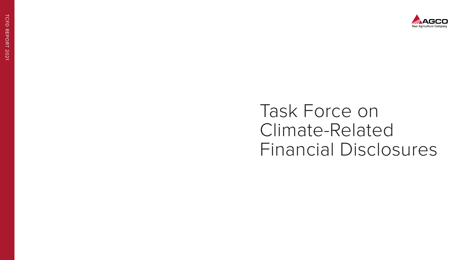# Task Force on Climate-Related Financial Disclosures

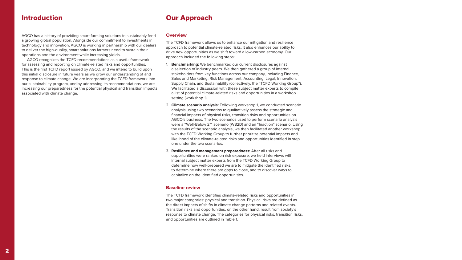# Our Approach

#### **Overview**

The TCFD framework allows us to enhance our mitigation and resilience approach to potential climate-related risks. It also enhances our ability to drive new opportunities as we shift toward a low-carbon economy. Our approach included the following steps:

- 1. **Benchmarking:** We benchmarked our current disclosures against a selection of industry peers. We then gathered a group of internal stakeholders from key functions across our company, including Finance, Sales and Marketing, Risk Management, Accounting, Legal, Innovation, Supply Chain, and Sustainability (collectively, the "TCFD Working Group"). We facilitated a discussion with these subject matter experts to compile a list of potential climate-related risks and opportunities in a workshop setting (workshop 1).
- 2. **Climate scenario analysis:** Following workshop 1, we conducted scenario analysis using two scenarios to qualitatively assess the strategic and financial impacts of physical risks, transition risks and opportunities on AGCO's business. The two scenarios used to perform scenario analysis were a "Well-Below 2°" scenario (WB2D) and an "Inaction" scenario. Using the results of the scenario analysis, we then facilitated another workshop with the TCFD Working Group to further prioritize potential impacts and likelihood of the climate-related risks and opportunities identified in step one under the two scenarios.
- 3. **Resilience and management preparedness:** After all risks and opportunities were ranked on risk exposure, we held interviews with internal subject matter experts from the TCFD Working Group to determine how well-prepared we are to mitigate the identified risks, to determine where there are gaps to close, and to discover ways to capitalize on the identified opportunities.

#### **Baseline review**

The TCFD framework identifies climate-related risks and opportunities in two major categories: physical and transition. Physical risks are defined as the direct impacts of shifts in climate change patterns and related events. Transition risks and opportunities, on the other hand, result from society's response to climate change. The categories for physical risks, transition risks, and opportunities are outlined in Table 1.

## Introduction

AGCO has a history of providing smart farming solutions to sustainably feed a growing global population. Alongside our commitment to investments in technology and innovation, AGCO is working in partnership with our dealers to deliver the high-quality, smart solutions farmers need to sustain their operations and the environment while increasing yields.

AGCO recognizes the TCFD recommendations as a useful framework for assessing and reporting on climate-related risks and opportunities. This is the first TCFD report issued by AGCO, and we intend to build upon this initial disclosure in future years as we grow our understanding of and response to climate change. We are incorporating the TCFD framework into our sustainability program, and by addressing its recommendations, we are increasing our preparedness for the potential physical and transition impacts associated with climate change.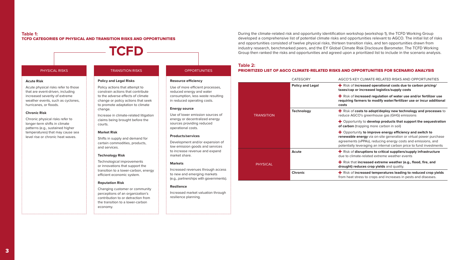CLIMATE-RELATED RISKS AND OPPORTUNITIES

#### During the climate-related risk and opportunity identification workshop (workshop 1), the TCFD Working Group developed a comprehensive list of potential climate risks and opportunities relevant to AGCO. The initial list of risks and opportunities consisted of twelve physical risks, thirteen transition risks, and ten opportunities drawn from industry research, benchmarked peers, and the EY Global Climate Risk Disclosure Barometer. The TCFD Working Group then ranked the risks and opportunities and agreed upon a prioritized list to include in the scenario analysis.

**Preased operational costs due to carbon pricing/ taxes/cap or increased logistics/supply costs**

+ Risk of **increased regulation of water use and/or fertilizer use reamble formally inconstrated farms increased in the moditional details inconstral** 

**The standard of the plog of the standard standard standard is to adopt/deploy new technology and processes** to 's greenhouse gas (GHG) emissions

ty to **develop products that support the sequestration** pping more carbon in soil)

ty **to improve energy efficiency and switch to rergy** via on-site generation or virtual power purchase  $\nu$ PPAs), reducing energy costs and emissions, and eraging an internal carbon price to fund investments

ruptions to critical suppliers/supply infrastructure e-related extreme weather events

**increased extreme weather (e.g., flood, fire, and aces crop yields** and quality.

reased temperatures leading to reduced crop yields ess to crops and increases in pests and diseases.

# **Table 2:**

### PRIORITIZED LIST OF AGCO CLIMATE-RELATED RISKS AND OPPORTUNITIES FOR SCENARIO ANALYSIS

|                   | <b>CATEGORY</b>         | <b>AGCO'S KEY</b>                                                         |
|-------------------|-------------------------|---------------------------------------------------------------------------|
| <b>TRANSITION</b> | <b>Policy and Legal</b> | $\bigstar$ Risk of incr<br>taxes/cap or i                                 |
|                   |                         | $\bigstar$ Risk of incr<br>requiring farm<br>costs                        |
|                   | <b>Technology</b>       | $\div$ Risk of cos<br>reduce AGCO                                         |
|                   |                         | $\blacklozenge$ Opportunit<br>of carbon (trap                             |
|                   |                         | $\bigstar$ Opportunit<br>renewable en<br>agreements (v<br>potentially lev |
| <b>PHYSICAL</b>   | Acute                   | $\bigstar$ Risk of disr<br>due to climate                                 |
|                   |                         | $\bigstar$ Risk that in<br>drought) redu                                  |
|                   | <b>Chronic</b>          | $\bigstar$ Risk of incr<br>from heat stre                                 |

#### **Table 1:**  TCFD CATEGORIES OF PHYSICAL AND TRANSITION RISKS AND OPPORTUNITIES

#### PHYSICAL RISKS TRANSITION RISKS OPPORTUNITIES

**TCFD**

#### **Acute Risk**

Acute physical risks refer to those that are event-driven, including increased severity of extreme weather events, such as cyclones, hurricanes, or floods.

#### **Chronic Risk**

Chronic physical risks refer to longer-term shifts in climate patterns (e.g., sustained higher temperatures) that may cause sea level rise or chronic heat waves.

# **Policy and Legal Risks**

#### Policy actions that attempt to constrain actions that contribute to the adverse effects of climate change or policy actions that seek to promote adaptation to climate change.

Increase in climate-related litigation claims being brought before the courts.

#### **Market Risk**

Shifts in supply and demand for certain commodities, products, and services.

#### **Technology Risk**

Technological improvements or innovations that support the transition to a lower-carbon, energy efficient economic system.

#### **Reputation Risk**

Changing customer or community perceptions of an organization's contribution to or detraction from the transition to a lower-carbon economy.

**Resource efficiency**

Use of more efficient processes, reduced energy and water consumption, less waste resulting in reduced operating costs.

**Energy source**

Use of lower emission sources of energy or decentralized energy sources providing reduced

operational costs.

**Products/services**

Development and/or expansion of low emission goods and services to increase revenue and expand

market share.

**Markets**

Increased revenues through access to new and emerging markets (e.g., partnerships with governments).

**Resilience**

Increased market valuation through

resilience planning.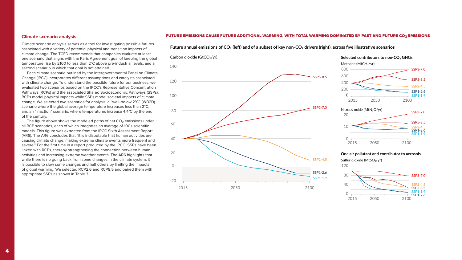#### **Climate scenario analysis**

Climate scenario analysis serves as a tool for investigating possible futures associated with a variety of potential physical and transition impacts of climate change. The TCFD recommends that companies evaluate at least one scenario that aligns with the Paris Agreement goal of keeping the global temperature rise by 2100 to less than 2°C above pre-industrial levels, and a second scenario in which that goal is not attained.

Each climate scenario outlined by the Intergovernmental Panel on Climate Change (IPCC) incorporates different assumptions and catalysts associated with climate change. To understand the possible future for our business, we evaluated two scenarios based on the IPCC's Representative Concentration Pathways (RCPs) and the associated Shared Socioeconomic Pathways (SSPs). RCPs model physical impacts while SSPs model societal impacts of climate change. We selected two scenarios for analysis: a "well-below 2°C" (WB2D) scenario where the global average temperature increases less than 2°C; and an "Inaction" scenario, where temperatures increase 4.4°C by the end of the century.

The figure above shows the modeled paths of net  $CO<sub>2</sub>$  emissions under all RCP scenarios, each of which integrates an average of 100+ scientific models. This figure was extracted from the IPCC Sixth Assessment Report (AR6). The AR6 concludes that "it is indisputable that human activities are causing climate change, making extreme climate events more frequent and severe." For the first time in a report produced by the IPCC, SSPs have been linked with RCPs, thereby strengthening the connection between human activities and increasing extreme weather events. The AR6 highlights that while there is no going back from some changes in the climate system, it is possible to slow some changes and halt others by limiting the impacts of global warming. We selected RCP2.6 and RCP8.5 and paired them with appropriate SSPs as shown in Table 3.

## FUTURE EMISSIONS CAUSE FUTURE ADDITIONAL WARMING, WITH TOTAL WARMING DOMINATED BY PAST AND FUTURE CO $_{\rm 2}$  EMISSIONS **dominated by past and future CO₂ emissions**

#### **a) Future annual emissions of CO₂ (left) and of a subset of key non-CO₂ drivers (right), across five illustrative scenarios**



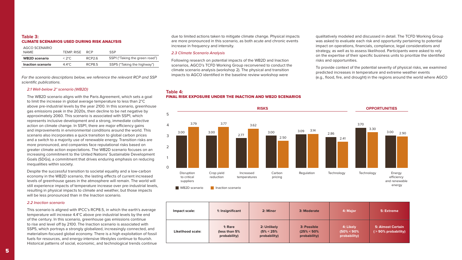due to limited actions taken to mitigate climate change. Physical impacts are more pronounced in this scenario, as both acute and chronic events increase in frequency and intensity.

#### *2.3 Climate Scenario Analysis*

Following research on potential impacts of the WB2D and Inaction scenarios, AGCO's TCFD Working Group reconvened to conduct the climate scenario analysis (workshop 2). The physical and transition impacts to AGCO identified in the baseline review workshop were

qualitatively modeled and discussed in detail. The TCFD Working Group was asked to evaluate each risk and opportunity pertaining to potential impact on operations, financials, compliance, legal considerations and strategy, as well as to assess likelihood. Participants were asked to rely on the expertise of their specific business units to prioritize the identified risks and opportunities.

To provide context of the potential severity of physical risks, we examined predicted increases in temperature and extreme weather events (e.g., flood, fire, and drought) in the regions around the world where AGCO

#### **Table 3:** CLIMATE SCENARIOS USED DURING RISK ANALYSIS

| AGCO SCENARIO        |                  |                    |                                |
|----------------------|------------------|--------------------|--------------------------------|
| NAMF                 | TEMP RISE RCP    |                    | <b>SSP</b>                     |
| <b>WB2D</b> scenario | $<$ 2°C.         | RCP <sub>2.6</sub> | SSP1 ("Taking the green road") |
| Inaction scenario    | $4.4^{\circ}$ C. | RCP8.5             | SSP5 ("Taking the highway")    |
|                      |                  |                    |                                |

For the scenario descriptions below, we reference the relevant RCP and SSP scientific publications.

#### *2.1 Well-below 2° scenario (WB2D)*

The WB2D scenario aligns with the Paris Agreement, which sets a goal to limit the increase in global average temperature to less than 2°C above pre-industrial levels by the year 2100. In this scenario, greenhouse gas emissions peak in the 2020s, then decline to be net negative by approximately 2060. This scenario is associated with SSP1, which represents inclusive development and a strong, immediate collective action on climate change. In SSP1, there are major efficiency gains and improvements in environmental conditions around the world. This scenario also incorporates a quick transition to global carbon prices and a switch to a majority use of renewable energy. Transition risks are more pronounced, and companies face reputational risks based on greater climate action expectations. The WB2D scenario focuses on an increasing commitment to the United Nations' Sustainable Development Goals (SDGs), a commitment that drives enduring emphasis on reducing inequalities within society.

Despite the successful transition to societal equality and a low-carbon economy in the WB2D scenario, the lasting effects of current increased levels of greenhouse gases in the atmosphere will remain. The world will still experience impacts of temperature increase over pre-industrial levels, resulting in physical impacts to climate and weather, but those impacts will be less pronounced than in the Inaction scenario.

#### *2.2 Inaction scenario*

This scenario is aligned with IPCC's RCP8.5, in which the earth's average temperature will increase 4.4°C above pre-industrial levels by the end of the century. In this scenario, greenhouse gas emissions continue to rise and level off by 2100. The Inaction scenario is associated with SSP5, which portrays a strongly globalized, increasingly connected, and materialism-focused global economy. There is a high exploitation of fossil fuels for resources, and energy-intensive lifestyles continue to flourish. Historical patterns of social, economic, and technological trends continue

# **Table 4:**

#### FINAL RISK EXPOSURE UNDER THE INACTION AND WB2D SCENARIOS





| Impact scale:     | 1: Insignificant                         | 2: Minor                                      | 3: Moderate                                   | 4: Major                                    | 5: Extreme                          |
|-------------------|------------------------------------------|-----------------------------------------------|-----------------------------------------------|---------------------------------------------|-------------------------------------|
| Likelihood scale: | 1: Rare<br>(less than 5%<br>probability) | 2: Unlikely<br>$(5\% < 25\%)$<br>probability) | 3: Possible<br>$(25\% < 50\%$<br>probability) | 4: Likely<br>$(50\% < 90\%$<br>probability) | 5: Almost Cert<br>$( > 90\%$ probab |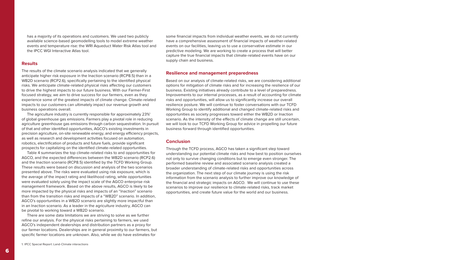some financial impacts from individual weather events, we do not currently have a comprehensive assessment of financial impacts of weather-related events on our facilities, leaving us to use a conservative estimate in our predictive modeling. We are working to create a process that will better capture the true financial impacts that climate-related events have on our supply chain and business.

#### **Resilience and management preparedness**

Based on our analysis of climate-related risks, we are considering additional options for mitigation of climate risks and for increasing the resilience of our business. Existing initiatives already contribute to a level of preparedness. Improvements to our internal processes, as a result of accounting for climate risks and opportunities, will allow us to significantly increase our overall resilience posture. We will continue to foster conversations with our TCFD Working Group to identify additional and changed climate-related risks and opportunities as society progresses toward either the WB2D or Inaction scenario. As the intensity of the effects of climate change are still uncertain, we will look to our TCFD Working Group for advice in propelling our future business forward through identified opportunities.

#### **Conclusion**

Through the TCFD process, AGCO has taken a significant step toward understanding our potential climate risks and how best to position ourselves not only to survive changing conditions but to emerge even stronger. The performed baseline review and associated scenario analysis created a broader understanding of climate-related risks and opportunities across the organization. The next step of our climate journey is using the risk information from the scenario analysis to further improve our knowledge of the financial and strategic impacts on AGCO. We will continue to use these scenarios to improve our resilience to climate-related risks, track market opportunities, and create future value for the world and our business.

The agriculture industry is currently responsible for approximately 23%<sup>1</sup> of global greenhouse gas emissions. Farmers play a pivotal role in reducing agriculture greenhouse gas emissions through carbon sequestration. In pursuit of that and other identified opportunities, AGCO's existing investments in precision agriculture, on-site renewable energy, and energy efficiency projects, as well as research and development activities focused on automation, robotics, electrification of products and future fuels, provide significant prospects for capitalizing on the identified climate-related opportunities.

has a majority of its operations and customers. We used two publicly available science-based geomodelling tools to model extreme weather events and temperature rise: the WRI Aqueduct Water Risk Atlas tool and the IPCC WGI Interactive Atlas tool.

#### **Results**

The results of the climate scenario analysis indicated that we generally anticipate higher risk exposure in the Inaction scenario (RCP8.5) than in a WB2D scenario (RCP2.6), specifically pertaining to the identified physical risks. We anticipate climate-related physical risks affecting our customers to drive the highest impacts to our future business. With our Farmer-First focused strategy, we aim to drive success for our farmers, even as they experience some of the greatest impacts of climate change. Climate-related impacts to our customers can ultimately impact our revenue growth and business operations overall.

Table 4 summarizes the top climate-related risks to and opportunities for AGCO, and the expected differences between the WB2D scenario (RCP2.6) and the Inaction scenario (RCP8.5) identified by the TCFD Working Group. These results were based on discussion and analysis of the two scenarios presented above. The risks were evaluated using risk exposure, which is the average of the impact rating and likelihood rating, while opportunities were evaluated solely using the impact scale of the AGCO enterprise risk management framework. Based on the above results, AGCO is likely to be more impacted by the physical risks and impacts of an "Inaction" scenario than from the transition risks and impacts of a "WB2D" scenario. In addition, AGCO's opportunities in a WB2D scenario are slightly more impactful than in an Inaction scenario. As a leader in the agriculture industry, AGCO can be pivotal to working toward a WB2D scenario.

There are some data limitations we are striving to solve as we further refine our analysis. For the physical risks pertaining to farmers, we used AGCO's independent dealerships and distribution partners as a proxy for our farmer locations. Dealerships are in general proximity to our farmers, but specific farmer locations are unknown. Also, while we do have estimates for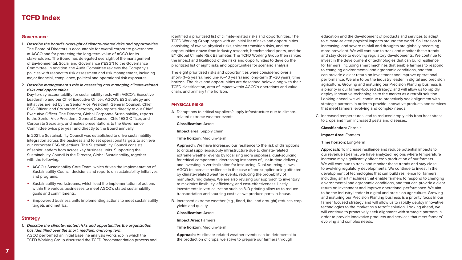education and the development of products and services to adapt to climate-related physical impacts around the world. Soil erosion is increasing, and severe rainfall and droughts are globally becoming more prevalent. We will continue to track and monitor these trends and stay close to evolving regulatory developments. We continue to invest in the development of technologies that can build resilience for farmers, including smart machines that enable farmers to respond to changing environmental and agronomic conditions, and that can provide a clear return on investment and improve operational performance. We aim to be the industry leader in digital and precision agriculture. Growing and maturing our Precision Planting business is a priority in our farmer-focused strategy, and will allow us to rapidly deploy innovative technologies to the market as a retrofit solution. Looking ahead, we will continue to proactively seek alignment with strategic partners in order to provide innovative products and services that meet farmers' evolving and complex needs.

C. Increased temperatures lead to reduced crop yields from heat stress to crops and from increased pests and diseases.

**Classification:** Chronic

**Impact Area:** Farmers

**Time horizon:** Long-term

**Approach:** To increase resilience and reduce potential impacts to our revenue streams, we have analyzed regions where temperature increase may significantly affect crop production of our farmers. We will continue to track and monitor these trends and stay close to evolving regulatory developments. We continue to invest in the development of technologies that can build resilience for farmers, including smart machines that enable farmers to respond to changing environmental and agronomic conditions, and that can provide a clear return on investment and improve operational performance. We aim to be the industry leader in digital and precision agriculture. Growing and maturing our Precision Planting business is a priority focus in our farmer focused strategy and will allow us to rapidly deploy innovative technologies to the market as a retrofit solution. Looking ahead, we will continue to proactively seek alignment with strategic partners in order to provide innovative products and services that meet farmers' evolving and complex needs.

identified a prioritized list of climate-related risks and opportunities. The TCFD Working Group began with an initial list of risks and opportunities consisting of twelve physical risks, thirteen transition risks, and ten opportunities drawn from industry research, benchmarked peers, and the EY Global Climate Risk Barometer. The TCFD Working Group then ranked the impact and likelihood of the risks and opportunities to develop the prioritized list of eight risks and opportunities for scenario analysis.

The eight prioritized risks and opportunities were considered over a short- (1–5 years), medium- (6–10 years) and long-term (11–30 years) time horizon. The risks and opportunities are described below along with their TCFD classification, area of impact within AGCO's operations and value chain, and primary time horizon.

#### **PHYSICAL RISKS:**

A. Disruptions to critical suppliers/supply infrastructure due to climaterelated extreme weather events.

**Classification:** Acute

**Impact area:** Supply chain

**Time horizon:** Medium-term

**Approach:** We have increased our resilience to the risk of disruptions to critical suppliers/supply infrastructure due to climate-related extreme weather events by localizing more suppliers, dual-sourcing for critical components, decreasing instances of just-in-time delivery, and investing in verticalization for insourcing. Dual-sourcing allows AGCO to increase resilience in the case of one supplier being affected by climate-related weather events, reducing the probability of manufacturing delays. We are also revising our approach to inventory to maximize flexibility, efficiency, and cost-effectiveness. Lastly, investments in verticalization such as 3-D printing allow us to reduce transportation and sourcing costs as we produce parts in-house.

B. Increased extreme weather (e.g., flood, fire, and drought) reduces crop yields and quality.

**Classification:** Acute

**Impact Area:** Farmers

**Time horizon:** Medium-term

**Approach:** As climate-related weather events can be detrimental to the production of crops, we strive to prepare our farmers through

#### **Governance**

- 1. **Describe the board's oversight of climate-related risks and opportunities.** The Board of Directors is accountable for overall corporate governance at AGCO and for protecting the long-term value of AGCO for its stakeholders. The Board has delegated oversight of the management of Environmental, Social and Governance ("ESG") to the Governance Committee. In addition, the Audit Committee reviews the Company's policies with respect to risk assessment and risk management, including major financial, compliance, political and operational risk exposures.
- 2. **Describe management's role in assessing and managing climate-related risks and opportunities.**

Day-to-day accountability for sustainability rests with AGCO's Executive Leadership and our Chief Executive Officer. AGCO's ESG strategy and initiatives are led by the Senior Vice President, General Counsel, Chief ESG Officer, and Corporate Secretary, who reports directly to our Chief Executive Officer. The Director, Global Corporate Sustainability, reports to the Senior Vice President, General Counsel, Chief ESG Officer, and Corporate Secretary, and makes presentations to the Governance Committee twice per year and directly to the Board annually.

In 2021, a Sustainability Council was established to drive sustainability integration across the business and to set operational targets to achieve our corporate ESG objectives. The Sustainability Council consists of senior leaders from across key business units. Supporting the Sustainability Council is the Director, Global Sustainability, together with the following:

- AGCO's Sustainability Core Team, which drives the implementation of Sustainability Council decisions and reports on sustainability initiatives and programs.
- Sustainability workstreams, which lead the implementation of actions within the various businesses to meet AGCO's stated sustainability goals and commitments.
- Empowered business units implementing actions to meet sustainability targets and metrics.

#### **Strategy**

1. **Describe the climate-related risks and opportunities the organization has identified over the short, medium, and long term.** AGCO performed an initial baseline analysis workshop in which the TCFD Working Group discussed the TCFD Recommendation process and

# TCFD Index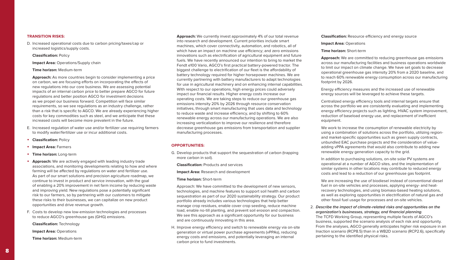#### **Classification:** Resource efficiency and energy source

**Impact Area:** Operations

#### **Time horizon:** Short-term

**Approach:** We are committed to reducing greenhouse gas emissions across our manufacturing facilities and business operations worldwide to limit our impact on climate change. We have set goals to decrease operational greenhouse gas intensity 20% from a 2020 baseline, and to reach 60% renewable energy consumption across our manufacturing footprint by 2026.

Energy efficiency measures and the increased use of renewable energy sources will be leveraged to achieve these targets.

Centralized energy efficiency tools and internal targets ensure that across the portfolio we are consistently evaluating and implementing energy efficiency projects such as lighting, HVAC system improvement, reduction of baseload energy use, and replacement of inefficient equipment.

We work to increase the consumption of renewable electricity by using a combination of solutions across the portfolio, utilizing regionand market-specific opportunities such as green supply contracts, unbundled EAC purchase projects and the consideration of valueadding vPPA agreements that would also contribute to adding new renewable energy generation capacity to the grid.

In addition to purchasing solutions, on-site solar PV systems are operational at a number of AGCO sites, and the implementation of similar systems in other locations may contribute to reduced energy costs and lead to a reduction of our greenhouse gas footprint.

We are increasing the use of biodiesel instead of conventional diesel fuel in on-site vehicles and processes, applying energy- and heatrecovery technologies, and using biomass-based heating solutions, as well as exploring opportunities in electrification of natural gas and other fossil fuel usage for processes and on-site vehicles.

#### 2. **Describe the impact of climate-related risks and opportunities on the organization's businesses, strategy, and financial planning**.

The TCFD Working Group, representing multiple facets of AGCO's business, supported the scenario analysis of each risk and opportunity. From the analyses, AGCO generally anticipates higher risk exposure in an Inaction scenario (RCP8.5) than in a WB2D scenario (RCP2.6), specifically

pertaining to the identified physical risks.

**Approach:** We currently invest approximately 4% of our total revenue into research and development. Current priorities include smart machines, which cover connectivity, automation, and robotics, all of which have an impact on machine use efficiency; and zero emissions innovations such as electrification of agricultural equipment and future fuels. We have recently announced our intention to bring to market the Fendt e100 Vario, AGCO's first practical battery-powered tractor. The biggest challenge to electrification of our fleet is the affordability of battery technology required for higher horsepower machines. We are currently partnering with battery manufacturers to adapt technologies for use in agricultural machinery and on enhancing internal capabilities. With respect to our operations, high energy prices could adversely impact our financial results. Higher energy costs increase our operating costs. We are taking steps to reduce our greenhouse gas emissions intensity 20% by 2026 through resource conservation initiatives, through smart manufacturing that uses data and technology to reduce waste and increase efficiency, and by shifting to 60% renewable energy across our manufacturing operations. We are also increasing verticalization to improve our resilience and therefore decrease greenhouse gas emissions from transportation and supplier manufacturing processes.

#### **OPPORTUNITIES:**

G. Develop products that support the sequestration of carbon (trapping more carbon in soil).

**Classification:** Products and services

**Impact Area:** Research and development

**Time horizon:** Short-term

Approach: We have committed to the development of new sensors, technologies, and machine features to support soil health and carbon sequestration as part of our 2020 sustainability strategy. Our product portfolio already includes various technologies that help better manage crop residues, enable cover crop seeding, reduce machine load, enable no-till planting, and prevent soil erosion and compaction. We see this approach as a significant opportunity for our business and are continuously innovating in this area.

H. Improve energy efficiency and switch to renewable energy via on-site generation or virtual power purchase agreements (vPPAs), reducing energy costs and emissions, and potentially leveraging an internal carbon price to fund investments.

#### **TRANSITION RISKS:**

D. Increased operational costs due to carbon pricing/taxes/cap or increased logistics/supply costs.

#### **Classification:** Policy

**Impact Area:** Operations/Supply chain

#### **Time horizon:** Medium-term

**Approach:** As more countries begin to consider implementing a price on carbon, we are focusing efforts on incorporating the effects of new regulations into our core business. We are assessing potential impacts of an internal carbon price to better prepare AGCO for future regulations and better position AGCO for investment decisions as we propel our business forward. Competition will face similar requirements, so we see regulations as an industry challenge, rather than a risk that is specific to AGCO. We are already experiencing higher costs for key commodities such as steel, and we anticipate that these increased costs will become more prevalent in the future.

- E. Increased regulation of water use and/or fertilizer use requiring farmers to modify water/fertilizer use or incur additional costs.
- **Classification:** Policy
- **Impact Area:** Farmers
- **Time horizon:** Long-term
- **Approach:** We are actively engaged with leading industry trade associations, and monitoring developments relating to how and where farming will be affected by regulations on water and fertilizer use. As part of our smart solutions and precision agriculture roadmap, we continue to invest in product and service innovation, with the goal of enabling a 20% improvement in net farm income by reducing waste and improving yield. New regulations pose a potentially significant risk to our farmers, so by partnering with our customers to mitigate these risks to their businesses, we can capitalize on new product opportunities and drive revenue growth.
- F. Costs to develop new low-emission technologies and processes to reduce AGCO's greenhouse gas (GHG) emissions.

**Classification:** Technology

**Impact Area:** Operations

**Time horizon:** Medium-term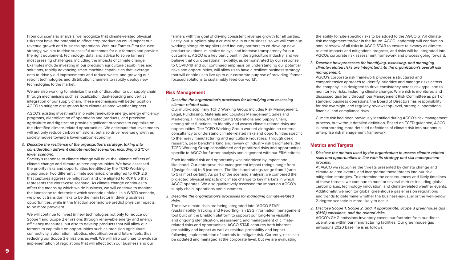the ability for site-specific risks to be added to the AGCO STAR climate risk management tracker in the future. AGCO leadership will conduct an annual review of all risks in AGCO STAR to ensure relevancy as climaterelated impacts and mitigations progress, and risks will be integrated into AGCOs corporate risk assessment framework and process going forward.

#### 3. **Describe how processes for identifying, assessing, and managing climate-related risks are integrated into the organization's overall risk management.**

AGCO's corporate risk framework provides a structured and comprehensive approach to identify, prioritize and manage risks across the company. It is designed to drive consistency across risk type, and to monitor key risks, including climate change. While risk is monitored and discussed quarterly through our Management Risk Committee as part of standard business operations, the Board of Directors has responsibility for risk oversight, and regularly reviews top-level, strategic, operational, financial and compliance risks.

Climate risk had been previously identified during AGCO's risk management process, but without detailed definition. Based on TCFD guidance, AGCO is incorporating more detailed definitions of climate risk into our annual enterprise risk management framework.

## **Metrics and Targets**

#### 1. **Disclose the metrics used by the organization to assess climate-related risks and opportunities in line with its strategy and risk management**

**process.**

At AGCO we recognize the threats presented by climate change and climate-related events, and incorporate those threats into our risk mitigation strategies. To determine the consequences and likely timelines of these threats, we continue to monitor several metrics including global carbon prices, technology innovation, and climate-related weather events. Additionally, we monitor global greenhouse gas emission regulations and trends to determine whether the business-as-usual or the well-below 2-degree scenario is more likely to occur.

# 2. **Disclose Scope 1, Scope 2, and, if appropriate, Scope 3 greenhouse gas**

**(GHG) emissions, and the related risks.** emissions 2020 baseline is as follows:

AGCO's GHG emissions inventory covers our footprint from our direct operations within our manufacturing facilities. Our greenhouse gas

farmers with the goal of driving consistent revenue growth for all parties. Lastly, our suppliers play a crucial role in our business, so we will continue working alongside suppliers and industry partners to co-develop new product solutions, minimize delays, and increase transparency for our customers. AGCO is a key participant in the agriculture industry, and we believe that our operational flexibility, as demonstrated by our response to COVID-19 and our continued emphasis on understanding our potential risks and opportunities, will allow us to have a resilient business strategy that will enable us to live up to our corporate purpose of providing 'farmer focused solutions to sustainably feed our world'.

We are also working to minimize the risk of disruption to our supply chain through mechanisms such as localization, dual-sourcing and vertical integration of our supply chain. These mechanisms will better position AGCO to mitigate disruptions from climate-related weather impacts.

#### **Risk Management**

1. **Describe the organization's processes for identifying and assessing climate-related risks.**

Our multi-disciplinary TCFD Working Group includes Risk Management, Legal, Purchasing, Materials and Logistics Management, Sales and Marketing, Finance, Manufacturing Operations and Supply Chain, among other functions, to identify and assess climate-related risks and opportunities. The TCFD Working Group worked alongside an external consultancy to understand climate-related risks and opportunities specific to the heavy manufacturing and agriculture industries. Through desk research, peer benchmarking and review of industry risk barometers, the TCFD Working Group consolidated and prioritized risks and opportunities specific to AGCO for further analysis and alignment with our ERM criteria.

Each identified risk and opportunity was prioritized by impact and likelihood. Our enterprise risk management impact ratings range from 1 (insignificant) to 5 (extreme). The likelihood ratings range from 1 (rare) to 5 (almost certain). As part of the scenario analysis, we compared the projected physical impacts of climate change to key markets in which AGCO operates. We also qualitatively assessed the impact on AGCO's supply chain, operations and customers.

#### 2. **Describe the organization's processes for managing climate-related risks.**

The new climate risks are being integrated into "AGCO STAR" (Sustainability Tracking and Reporting), an ESG information management tool built on the Enablon platform to support our long-term visibility and ongoing identification, assessment, and management of climaterelated risks and opportunities. AGCO STAR captures both inherent probability and impact as well as residual probability and impact following implementation of controls to mitigate risk. Currently, risks can be updated and managed at the corporate level, but we are evaluating

From our scenario analysis, we recognize that climate-related physical risks that have the potential to affect crop production could impact our revenue growth and business operations. With our Farmer-First focused strategy, we aim to drive successful outcomes for our farmers and provide the right equipment, technology, data, and advice to solve farmers' most pressing challenges, including the impacts of climate change. Examples include investing in our precision agriculture capabilities and solutions, rapidly advancing smart machine capabilities that leverage data to drive yield improvements and reduce waste, and growing our retrofit technologies and distribution channels to rapidly deploy new technologies to the market.

AGCO's existing investments in on-site renewable energy, energy efficiency programs, electrification of operations and products, and precision agriculture and digitization provide significant prospects to capitalize on the identified climate-related opportunities. We anticipate that investments will not only reduce carbon emissions, but also drive revenue growth as society moves toward a lower-carbon economy.

#### 3. **Describe the resilience of the organization's strategy, taking into consideration different climate-related scenarios, including a 2°C or lower scenario.**

Society's response to climate change will drive the ultimate effects of climate change and climate-related opportunities. We have assessed the priority risks and opportunities identified by the TCFD Working group under two different climate scenarios: one aligned to RCP 2.6 that captures aggressive mitigation, and one aligned to RCP 8.5 that represents the worst-case scenario. As climate change continues to affect the means by which we do business, we will continue to monitor the landscape to determine which scenario unfolds. In a WB2D scenario, we predict transition risks to be the main factor in driving business opportunities, while in the Inaction scenario we predict physical impacts to be more prevalent.

We will continue to invest in new technologies not only to reduce our Scope 1 and Scope 2 emissions through renewable energy and energy efficiency measures, but also to develop products that will allow our farmers to capitalize on opportunities such as precision agriculture, connectivity, automation, robotics, electrification and future fuels, thus reducing our Scope 3 emissions as well. We will also continue to evaluate implementation of regulations that will affect both our business and our